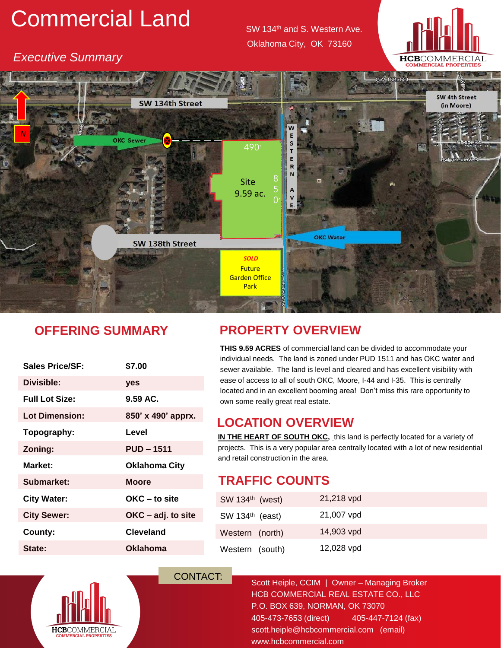# Commercial Land SW 134th and S. Western Ave.

Oklahoma City, OK 73160

**HCB**COMMERCIA

#### *Executive Summary*



# **OFFERING SUMMARY**

| <b>Sales Price/SF:</b> | \$7.00               |
|------------------------|----------------------|
| Divisible:             | yes                  |
| <b>Full Lot Size:</b>  | $9.59$ AC.           |
| <b>Lot Dimension:</b>  | 850' x 490' apprx.   |
| Topography:            | Level                |
| Zoning:                | <b>PUD - 1511</b>    |
|                        |                      |
| Market:                | <b>Oklahoma City</b> |
| Submarket:             | <b>Moore</b>         |
| <b>City Water:</b>     | OKC – to site        |
| <b>City Sewer:</b>     | OKC – adj. to site   |
| County:                | <b>Cleveland</b>     |

# **PROPERTY OVERVIEW**

**THIS 9.59 ACRES** of commercial land can be divided to accommodate your individual needs. The land is zoned under PUD 1511 and has OKC water and sewer available. The land is level and cleared and has excellent visibility with ease of access to all of south OKC, Moore, I-44 and I-35. This is centrally located and in an excellent booming area! Don't miss this rare opportunity to own some really great real estate.

# **LOCATION OVERVIEW**

**IN THE HEART OF SOUTH OKC,** this land is perfectly located for a variety of projects. This is a very popular area centrally located with a lot of new residential and retail construction in the area.

# **TRAFFIC COUNTS**

| SW 134 <sup>th</sup> (west) | 21,218 vpd |  |
|-----------------------------|------------|--|
| SW 134 <sup>th</sup> (east) | 21,007 vpd |  |
| Western (north)             | 14,903 vpd |  |
| Western (south)             | 12,028 vpd |  |



CONTACT: Scott Heiple, CCIM | Owner – Managing Broker HCB COMMERCIAL REAL ESTATE CO., LLC P.O. BOX 639, NORMAN, OK 73070 405-473-7653 (direct) 405-447-7124 (fax) scott.heiple@hcbcommercial.com (email) www.hcbcommercial.com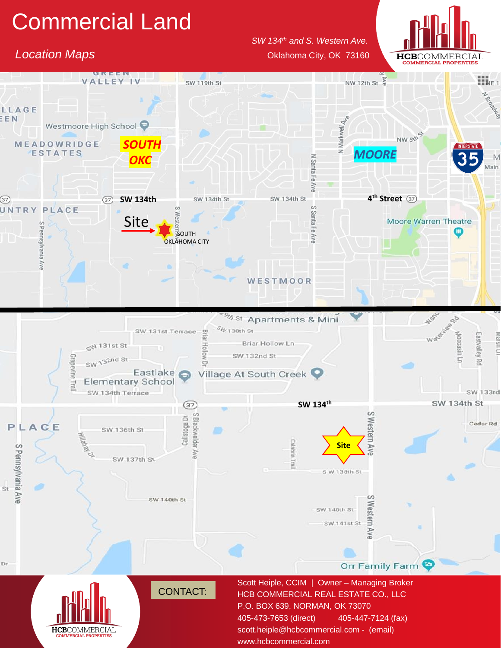# Commercial Land

### **Location Maps Contained According to the Contained According City, OK 73160**

#### *SW 134th and S. Western Ave.*



 $\prod_{k\in I}$ **VALLEY IV** NW 12th St  $\frac{2}{9}$ SW 119th St N BOODRAND LLAGE EEN Westmoore High School N Markwell NW 5th St **MEADOWRIDGE** *SOUTH* **ESTATES** *MOORE* **N** Santa *OKC*  $\overline{A}$ *Site* SW 134th St SW 134th St **4 th Street**  $(37)$  $(37)$ **SW 134th** UNTRY PLACE Site**Moore Warren Theatre** S Pennsylvania 굽 o **SOUTH** Ave OKLAHOMA CITY AVE WESTMOOR Mando <sup>9</sup><sup>% st</sup> Apartments & Mini... 89  $S_{4p+130th}$  St SW 131st Terrace 목 Wa Eastvalley Rd Moccasin Ln Briar Hollow Ln  $\mathbb{C}^{N}$  131st St SW 132nd St SW 132nd St Grapevine Trail  $\overline{a}$ Eastlake Village At South Creek **Elementary School** SW 134th Terrace SW 133rd **SW 134th SW 134th St**  $\circled{37}$  $\omega$ S Blackwelder Calistoga Dr Western Ave Cedar Rd P L ACE SW 136th St cidels. **Site** S Pennsylvania Ave AVE SW 137th SV Trail S W 138th St St m SW 140th St SW 140th St es1 ern SW 141st St Ave Dr Orr Family Farm Scott Heiple, CCIM | Owner – Managing Broker CONTACT: HCB COMMERCIAL REAL ESTATE CO., LLC P.O. BOX 639, NORMAN, OK 73070 405-473-7653 (direct) 405-447-7124 (fax) **HCB**COMMERCIAI scott.heiple@hcbcommercial.com - (email)

www.hcbcommercial.com